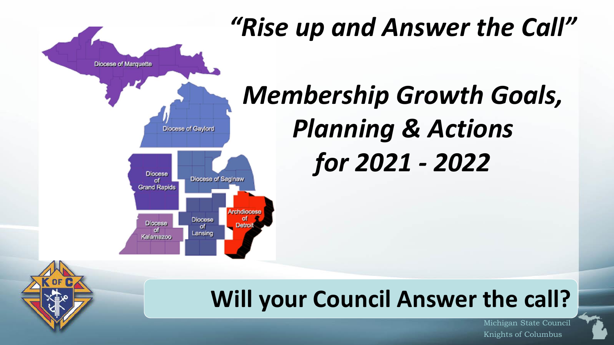

# *"Rise up and Answer the Call"*

# *Membership Growth Goals, Planning & Actions for 2021 - 2022*

## **Will your Council Answer the call?**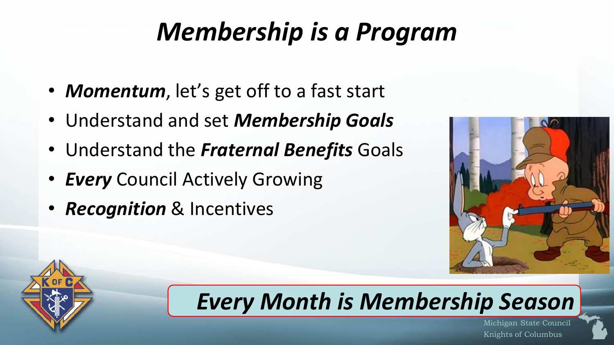# *Membership is a Program*

- *Momentum*, let's get off to a fast start
- Understand and set *Membership Goals*
- Understand the *Fraternal Benefits* Goals
- *Every* Council Actively Growing
- *Recognition* & Incentives





## *Every Month is Membership Season*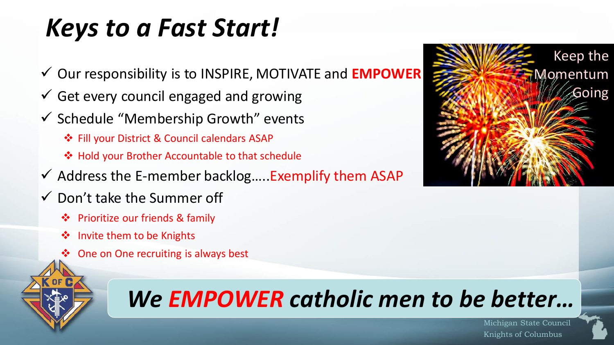# *Keys to a Fast Start!*

- ✓ Our responsibility is to INSPIRE, MOTIVATE and **EMPOWER**
- $\checkmark$  Get every council engaged and growing
- ✓ Schedule "Membership Growth" events
	- ❖ Fill your District & Council calendars ASAP
	- ❖ Hold your Brother Accountable to that schedule
- $\checkmark$  Address the E-member backlog.....Exemplify them ASAP
- $\checkmark$  Don't take the Summer off
	- ❖ Prioritize our friends & family
	- ❖ Invite them to be Knights
	- ❖ One on One recruiting is always best



# *We EMPOWER catholic men to be better…*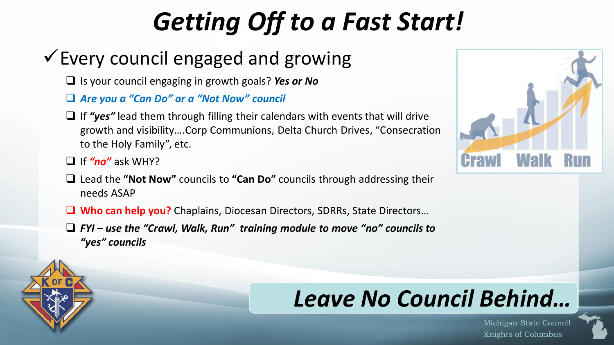# *Getting Off to a Fast Start!*

## $\checkmark$  Every council engaged and growing

- ❑ Is your council engaging in growth goals? *Yes or No*
- ❑ *Are you a "Can Do" or a "Not Now" council*
- ❑ If *"yes"* lead them through filling their calendars with events that will drive growth and visibility….Corp Communions, Delta Church Drives, "Consecration to the Holy Family", etc.
- ❑ If *"no"* ask WHY?
- ❑ Lead the **"Not Now"** councils to **"Can Do"** councils through addressing their needs ASAP
- ❑ **Who can help you?** Chaplains, Diocesan Directors, SDRRs, State Directors…
- ❑ *FYI – use the "Crawl, Walk, Run" training module to move "no" councils to "yes" councils*



## *Leave No Council Behind…*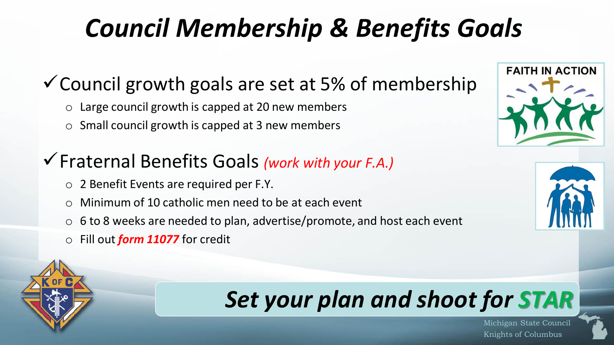# *Council Membership & Benefits Goals*

## $\checkmark$  Council growth goals are set at 5% of membership

- $\circ$  Large council growth is capped at 20 new members
- $\circ$  Small council growth is capped at 3 new members

### ✓Fraternal Benefits Goals *(work with your F.A.)*

- o 2 Benefit Events are required per F.Y.
- o Minimum of 10 catholic men need to be at each event
- $\circ$  6 to 8 weeks are needed to plan, advertise/promote, and host each event
- o Fill out *form 11077* for credit



## *Set your plan and shoot for STAR*



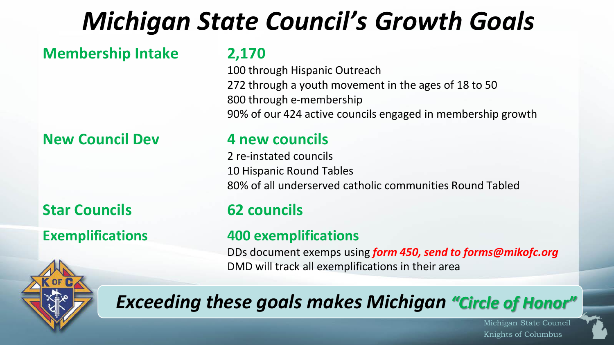# *Michigan State Council's Growth Goals*

**Membership Intake 2,170**

### **New Council Dev 4 new councils**

**Star Councils 62 councils**

100 through Hispanic Outreach 272 through a youth movement in the ages of 18 to 50 800 through e-membership 90% of our 424 active councils engaged in membership growth

2 re-instated councils 10 Hispanic Round Tables 80% of all underserved catholic communities Round Tabled

### **Exemplifications 400 exemplifications**

DDs document exemps using *form 450, send to forms@mikofc.org* DMD will track all exemplifications in their area

## *Exceeding these goals makes Michigan "Circle of Honor"*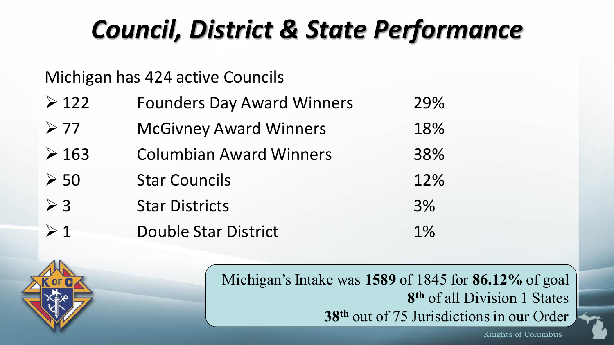# *Council, District & State Performance*

### Michigan has 424 active Councils

| $\geqslant$ 122 | <b>Founders Day Award Winners</b> | 29% |
|-----------------|-----------------------------------|-----|
| $\geqslant$ 77  | <b>McGivney Award Winners</b>     | 18% |
| $\geq 163$      | <b>Columbian Award Winners</b>    | 38% |
| $\geqslant$ 50  | <b>Star Councils</b>              | 12% |
| $\geqslant$ 3   | <b>Star Districts</b>             | 3%  |
| $\geq 1$        | <b>Double Star District</b>       | 1%  |



Knights of Columbus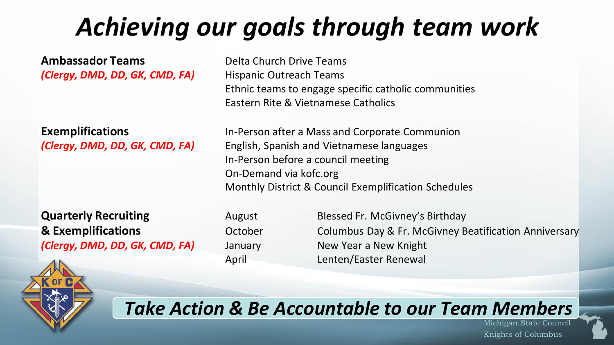# *Achieving our goals through team work*

**Ambassador Teams** Delta Church Drive Teams *(Clergy, DMD, DD, GK, CMD, FA)* Hispanic Outreach Teams

**Quarterly Recruiting The August Causes August Blessed Fr. McGivney's Birthday** *(Clergy, DMD, DD, GK, CMD, FA)* January New Year a New Knight



Ethnic teams to engage specific catholic communities Eastern Rite & Vietnamese Catholics

**Exemplifications** In-Person after a Mass and Corporate Communion *(Clergy, DMD, DD, GK, CMD, FA)* English, Spanish and Vietnamese languages In-Person before a council meeting On-Demand via kofc.org Monthly District & Council Exemplification Schedules

**& Exemplifications Columbus Day & Fr. McGivney Beatification Anniversary Columbus Day & Fr. McGivney Beatification Anniversary** April Lenten/Easter Renewal

### *Take Action & Be Accountable to our Team Members*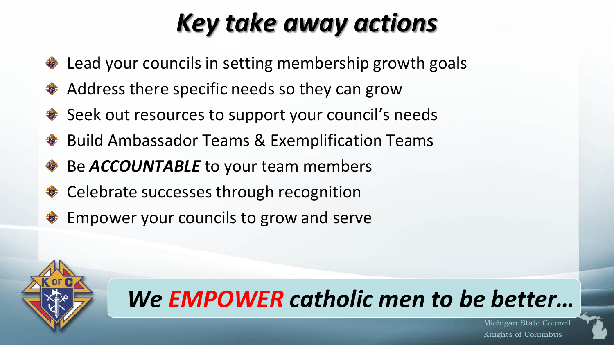# *Key take away actions*

- Lead your councils in setting membership growth goals **REAL PROPERTY**
- **♦ Address there specific needs so they can grow**
- ♦ Seek out resources to support your council's needs
- **♦ Build Ambassador Teams & Exemplification Teams**
- Be *ACCOUNTABLE* to your team members **COLLEGE**
- **♦ Celebrate successes through recognition**
- Empower your councils to grow and serve



## *We EMPOWER catholic men to be better…*